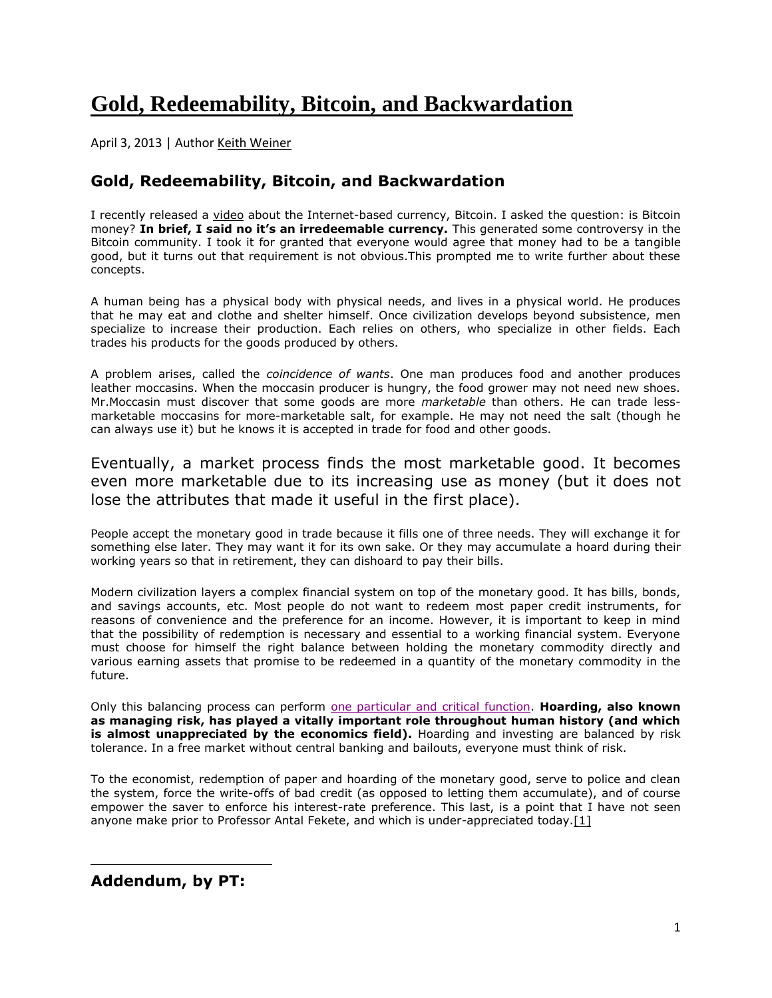# **[Gold, Redeemability, Bitcoin, and Backwardation](http://www.acting-man.com/?p=22487)**

April 3, 2013 | Autho[r Keith Weiner](http://www.acting-man.com/?author=1300)

#### **Gold, Redeemability, Bitcoin, and Backwardation**

I recently released a [video](http://monetary-metals.com/is-bitcoin-money/) about the Internet-based currency, Bitcoin. I asked the question: is Bitcoin money? **In brief, I said no it's an irredeemable currency.** This generated some controversy in the Bitcoin community. I took it for granted that everyone would agree that money had to be a tangible good, but it turns out that requirement is not obvious.This prompted me to write further about these concepts.

A human being has a physical body with physical needs, and lives in a physical world. He produces that he may eat and clothe and shelter himself. Once civilization develops beyond subsistence, men specialize to increase their production. Each relies on others, who specialize in other fields. Each trades his products for the goods produced by others.

A problem arises, called the *coincidence of wants*. One man produces food and another produces leather moccasins. When the moccasin producer is hungry, the food grower may not need new shoes. Mr.Moccasin must discover that some goods are more *marketable* than others. He can trade lessmarketable moccasins for more-marketable salt, for example. He may not need the salt (though he can always use it) but he knows it is accepted in trade for food and other goods.

Eventually, a market process finds the most marketable good. It becomes even more marketable due to its increasing use as money (but it does not lose the attributes that made it useful in the first place).

People accept the monetary good in trade because it fills one of three needs. They will exchange it for something else later. They may want it for its own sake. Or they may accumulate a hoard during their working years so that in retirement, they can dishoard to pay their bills.

Modern civilization layers a complex financial system on top of the monetary good. It has bills, bonds, and savings accounts, etc. Most people do not want to redeem most paper credit instruments, for reasons of convenience and the preference for an income. However, it is important to keep in mind that the possibility of redemption is necessary and essential to a working financial system. Everyone must choose for himself the right balance between holding the monetary commodity directly and various earning assets that promise to be redeemed in a quantity of the monetary commodity in the future.

Only this balancing process can perform [one particular and critical function.](http://monetary-metals.com/in-a-gold-standard-how-are-interest-rates-set-3/) **Hoarding, also known as managing risk, has played a vitally important role throughout human history (and which**  is almost unappreciated by the economics field). Hoarding and investing are balanced by risk tolerance. In a free market without central banking and bailouts, everyone must think of risk.

To the economist, redemption of paper and hoarding of the monetary good, serve to police and clean the system, force the write-offs of bad credit (as opposed to letting them accumulate), and of course empower the saver to enforce his interest-rate preference. This last, is a point that I have not seen anyone make prior to Professor Antal Fekete, and which is under-appreciated today[.\[1\]](http://www.zerohedge.com/news/antal-fekete-responds-ben-bernanke-gold-standard)

**Addendum, by PT:**

 $\overline{a}$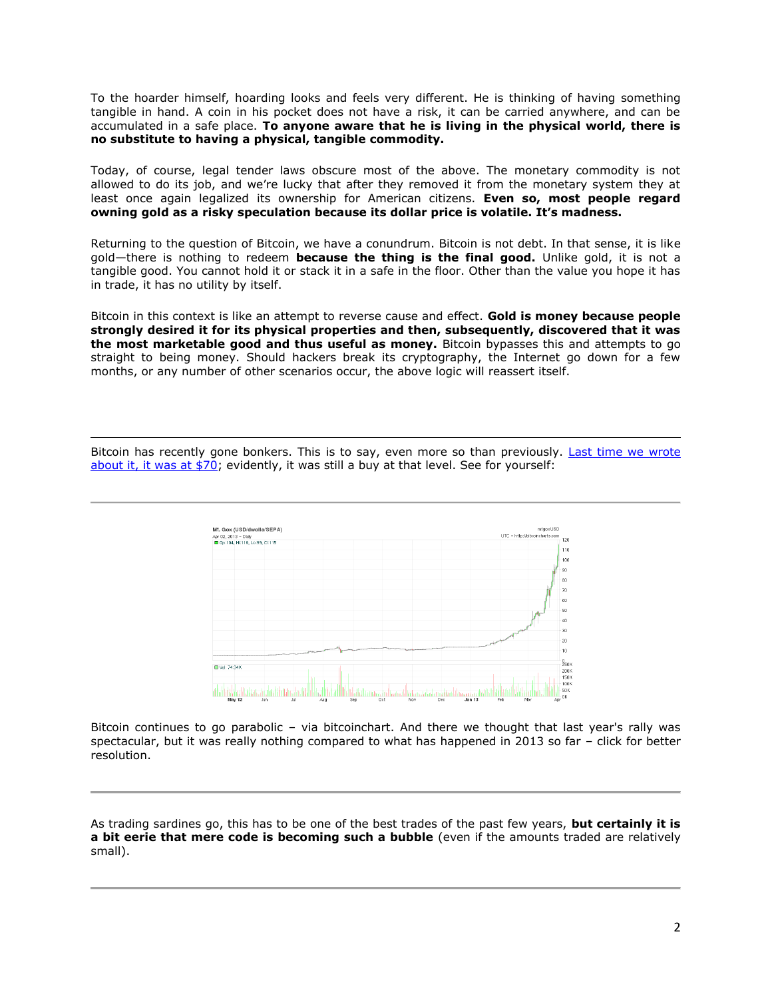To the hoarder himself, hoarding looks and feels very different. He is thinking of having something tangible in hand. A coin in his pocket does not have a risk, it can be carried anywhere, and can be accumulated in a safe place. **To anyone aware that he is living in the physical world, there is no substitute to having a physical, tangible commodity.**

Today, of course, legal tender laws obscure most of the above. The monetary commodity is not allowed to do its job, and we're lucky that after they removed it from the monetary system they at least once again legalized its ownership for American citizens. **Even so, most people regard owning gold as a risky speculation because its dollar price is volatile. It's madness.**

Returning to the question of Bitcoin, we have a conundrum. Bitcoin is not debt. In that sense, it is like gold—there is nothing to redeem **because the thing is the final good.** Unlike gold, it is not a tangible good. You cannot hold it or stack it in a safe in the floor. Other than the value you hope it has in trade, it has no utility by itself.

Bitcoin in this context is like an attempt to reverse cause and effect. **Gold is money because people strongly desired it for its physical properties and then, subsequently, discovered that it was the most marketable good and thus useful as money.** Bitcoin bypasses this and attempts to go straight to being money. Should hackers break its cryptography, the Internet go down for a few months, or any number of other scenarios occur, the above logic will reassert itself.

Bitcoin has recently gone bonkers. This is to say, even more so than previously. Last time we wrote [about it, it was at \\$70;](http://www.acting-man.com/?p=22299) evidently, it was still a buy at that level. See for yourself:

 $\overline{\phantom{a}}$ 



Bitcoin continues to go parabolic – via bitcoinchart. And there we thought that last year's rally was spectacular, but it was really nothing compared to what has happened in 2013 so far – click for better resolution.

As trading sardines go, this has to be one of the best trades of the past few years, **but certainly it is a bit eerie that mere code is becoming such a bubble** (even if the amounts traded are relatively small).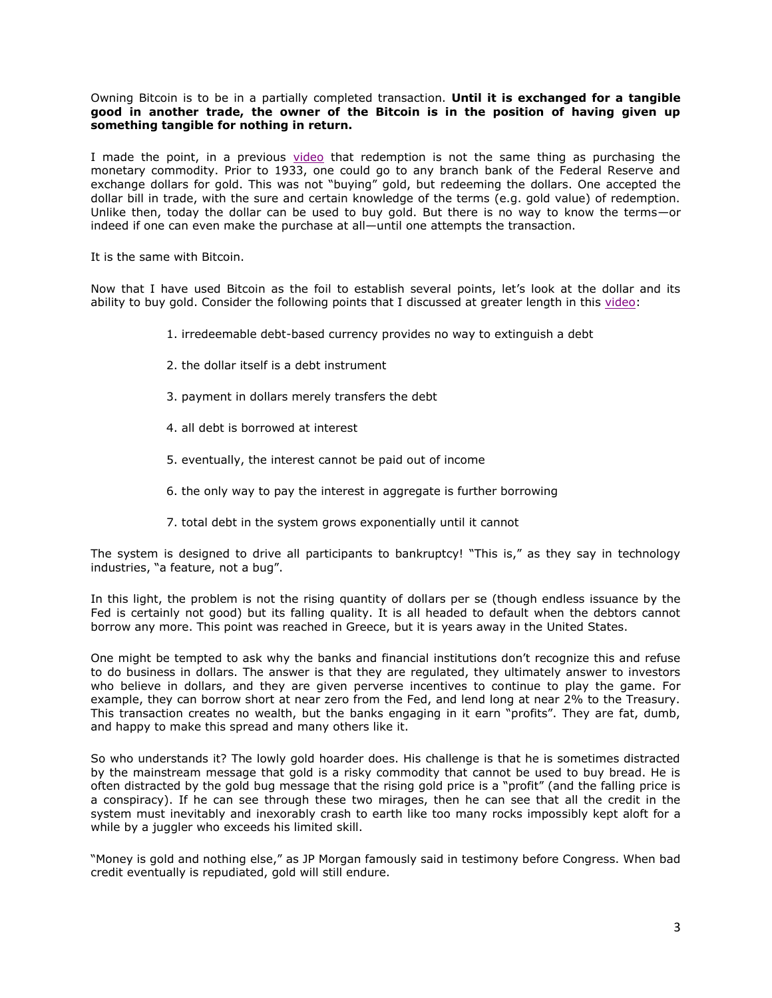Owning Bitcoin is to be in a partially completed transaction. **Until it is exchanged for a tangible good in another trade, the owner of the Bitcoin is in the position of having given up something tangible for nothing in return.**

I made the point, in a previous  $video$  that redemption is not the same thing as purchasing the</u> monetary commodity. Prior to 1933, one could go to any branch bank of the Federal Reserve and exchange dollars for gold. This was not "buying" gold, but redeeming the dollars. One accepted the dollar bill in trade, with the sure and certain knowledge of the terms (e.g. gold value) of redemption. Unlike then, today the dollar can be used to buy gold. But there is no way to know the terms—or indeed if one can even make the purchase at all—until one attempts the transaction.

It is the same with Bitcoin.

Now that I have used Bitcoin as the foil to establish several points, let's look at the dollar and its ability to buy gold. Consider the following points that I discussed at greater length in this [video:](http://monetary-metals.com/irredeemable-currencies-and-the-fate-of-europe/)

- 1. irredeemable debt-based currency provides no way to extinguish a debt
- 2. the dollar itself is a debt instrument
- 3. payment in dollars merely transfers the debt
- 4. all debt is borrowed at interest
- 5. eventually, the interest cannot be paid out of income
- 6. the only way to pay the interest in aggregate is further borrowing
- 7. total debt in the system grows exponentially until it cannot

The system is designed to drive all participants to bankruptcy! "This is," as they say in technology industries, "a feature, not a bug".

In this light, the problem is not the rising quantity of dollars per se (though endless issuance by the Fed is certainly not good) but its falling quality. It is all headed to default when the debtors cannot borrow any more. This point was reached in Greece, but it is years away in the United States.

One might be tempted to ask why the banks and financial institutions don't recognize this and refuse to do business in dollars. The answer is that they are regulated, they ultimately answer to investors who believe in dollars, and they are given perverse incentives to continue to play the game. For example, they can borrow short at near zero from the Fed, and lend long at near 2% to the Treasury. This transaction creates no wealth, but the banks engaging in it earn "profits". They are fat, dumb, and happy to make this spread and many others like it.

So who understands it? The lowly gold hoarder does. His challenge is that he is sometimes distracted by the mainstream message that gold is a risky commodity that cannot be used to buy bread. He is often distracted by the gold bug message that the rising gold price is a "profit" (and the falling price is a conspiracy). If he can see through these two mirages, then he can see that all the credit in the system must inevitably and inexorably crash to earth like too many rocks impossibly kept aloft for a while by a juggler who exceeds his limited skill.

"Money is gold and nothing else," as JP Morgan famously said in testimony before Congress. When bad credit eventually is repudiated, gold will still endure.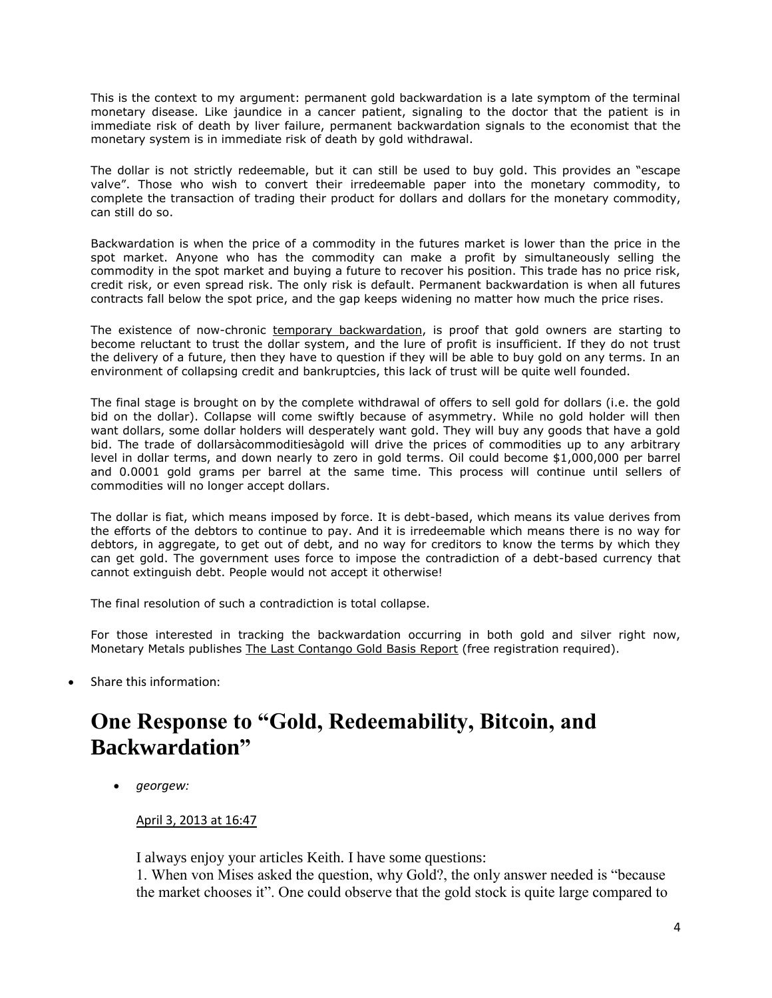This is the context to my argument: permanent gold backwardation is a late symptom of the terminal monetary disease. Like jaundice in a cancer patient, signaling to the doctor that the patient is in immediate risk of death by liver failure, permanent backwardation signals to the economist that the monetary system is in immediate risk of death by gold withdrawal.

The dollar is not strictly redeemable, but it can still be used to buy gold. This provides an "escape valve". Those who wish to convert their irredeemable paper into the monetary commodity, to complete the transaction of trading their product for dollars and dollars for the monetary commodity, can still do so.

Backwardation is when the price of a commodity in the futures market is lower than the price in the spot market. Anyone who has the commodity can make a profit by simultaneously selling the commodity in the spot market and buying a future to recover his position. This trade has no price risk, credit risk, or even spread risk. The only risk is default. Permanent backwardation is when all futures contracts fall below the spot price, and the gap keeps widening no matter how much the price rises.

The existence of now-chronic [temporary backwardation,](http://monetary-metals.com/temporary-backwardation-the-path-forward-from-2008-3/) is proof that gold owners are starting to become reluctant to trust the dollar system, and the lure of profit is insufficient. If they do not trust the delivery of a future, then they have to question if they will be able to buy gold on any terms. In an environment of collapsing credit and bankruptcies, this lack of trust will be quite well founded.

The final stage is brought on by the complete withdrawal of offers to sell gold for dollars (i.e. the gold bid on the dollar). Collapse will come swiftly because of asymmetry. While no gold holder will then want dollars, some dollar holders will desperately want gold. They will buy any goods that have a gold bid. The trade of dollarsàcommoditiesàgold will drive the prices of commodities up to any arbitrary level in dollar terms, and down nearly to zero in gold terms. Oil could become \$1,000,000 per barrel and 0.0001 gold grams per barrel at the same time. This process will continue until sellers of commodities will no longer accept dollars.

The dollar is fiat, which means imposed by force. It is debt-based, which means its value derives from the efforts of the debtors to continue to pay. And it is irredeemable which means there is no way for debtors, in aggregate, to get out of debt, and no way for creditors to know the terms by which they can get gold. The government uses force to impose the contradiction of a debt-based currency that cannot extinguish debt. People would not accept it otherwise!

The final resolution of such a contradiction is total collapse.

For those interested in tracking the backwardation occurring in both gold and silver right now, Monetary Metals publishes [The Last Contango Gold Basis Report](http://monetary-metals.com/basisletter/) (free registration required).

Share this information:

## **One Response to "Gold, Redeemability, Bitcoin, and Backwardation"**

*georgew:*

[April 3, 2013 at 16:47](http://www.acting-man.com/?p=22487&cpage=1#comment-4106)

I always enjoy your articles Keith. I have some questions:

1. When von Mises asked the question, why Gold?, the only answer needed is "because the market chooses it". One could observe that the gold stock is quite large compared to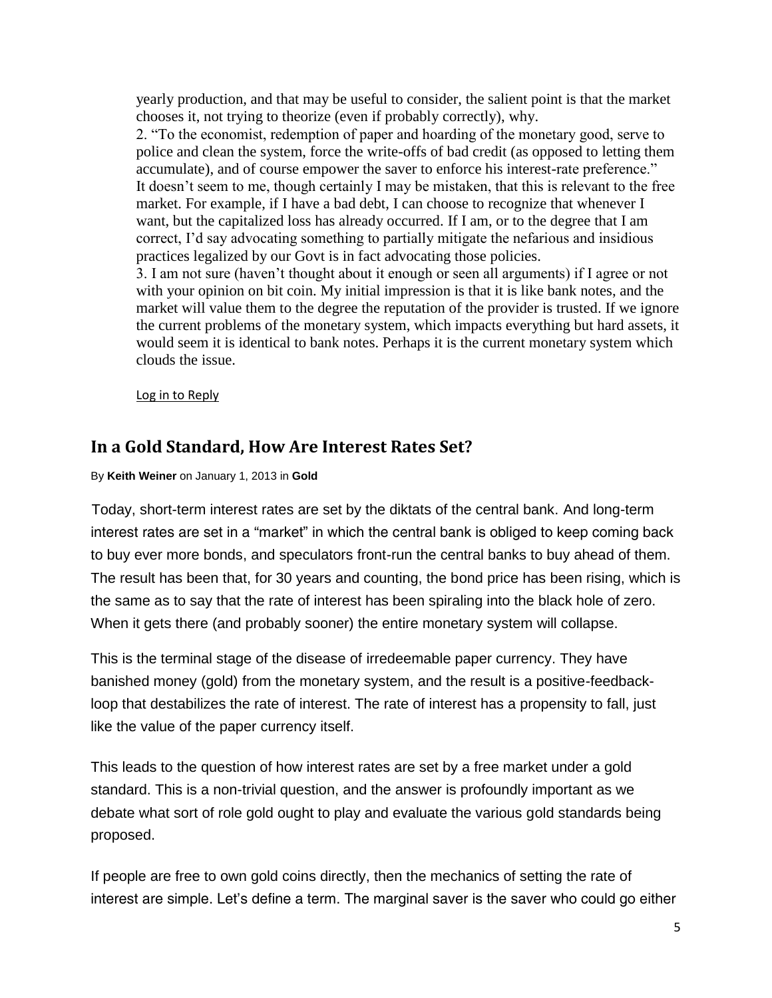yearly production, and that may be useful to consider, the salient point is that the market chooses it, not trying to theorize (even if probably correctly), why.

2. "To the economist, redemption of paper and hoarding of the monetary good, serve to police and clean the system, force the write-offs of bad credit (as opposed to letting them accumulate), and of course empower the saver to enforce his interest-rate preference." It doesn't seem to me, though certainly I may be mistaken, that this is relevant to the free market. For example, if I have a bad debt, I can choose to recognize that whenever I want, but the capitalized loss has already occurred. If I am, or to the degree that I am correct, I'd say advocating something to partially mitigate the nefarious and insidious practices legalized by our Govt is in fact advocating those policies.

3. I am not sure (haven't thought about it enough or seen all arguments) if I agree or not with your opinion on bit coin. My initial impression is that it is like bank notes, and the market will value them to the degree the reputation of the provider is trusted. If we ignore the current problems of the monetary system, which impacts everything but hard assets, it would seem it is identical to bank notes. Perhaps it is the current monetary system which clouds the issue.

[Log in to Reply](http://www.acting-man.com/blog/wp-login.php?redirect_to=http%3A%2F%2Fwww.acting-man.com%2F%3Fp%3D22487)

### **In a Gold Standard, How Are Interest Rates Set?**

By **[Keith Weiner](http://monetary-metals.com/author/kw/)** on January 1, 2013 in **[Gold](http://monetary-metals.com/category/gold/)**

[T](http://www.hupso.com/share/)oday, short-term interest rates are set by the diktats of the central bank. And long-term interest rates are set in a "market" in which the central bank is obliged to keep coming back to buy ever more bonds, and speculators front-run the central banks to buy ahead of them. The result has been that, for 30 years and counting, the bond price has been rising, which is the same as to say that the rate of interest has been spiraling into the black hole of zero. When it gets there (and probably sooner) the entire monetary system will collapse.

This is the terminal stage of the disease of irredeemable paper currency. They have banished money (gold) from the monetary system, and the result is a positive-feedbackloop that destabilizes the rate of interest. The rate of interest has a propensity to fall, just like the value of the paper currency itself.

This leads to the question of how interest rates are set by a free market under a gold standard. This is a non-trivial question, and the answer is profoundly important as we debate what sort of role gold ought to play and evaluate the various gold standards being proposed.

If people are free to own gold coins directly, then the mechanics of setting the rate of interest are simple. Let's define a term. The marginal saver is the saver who could go either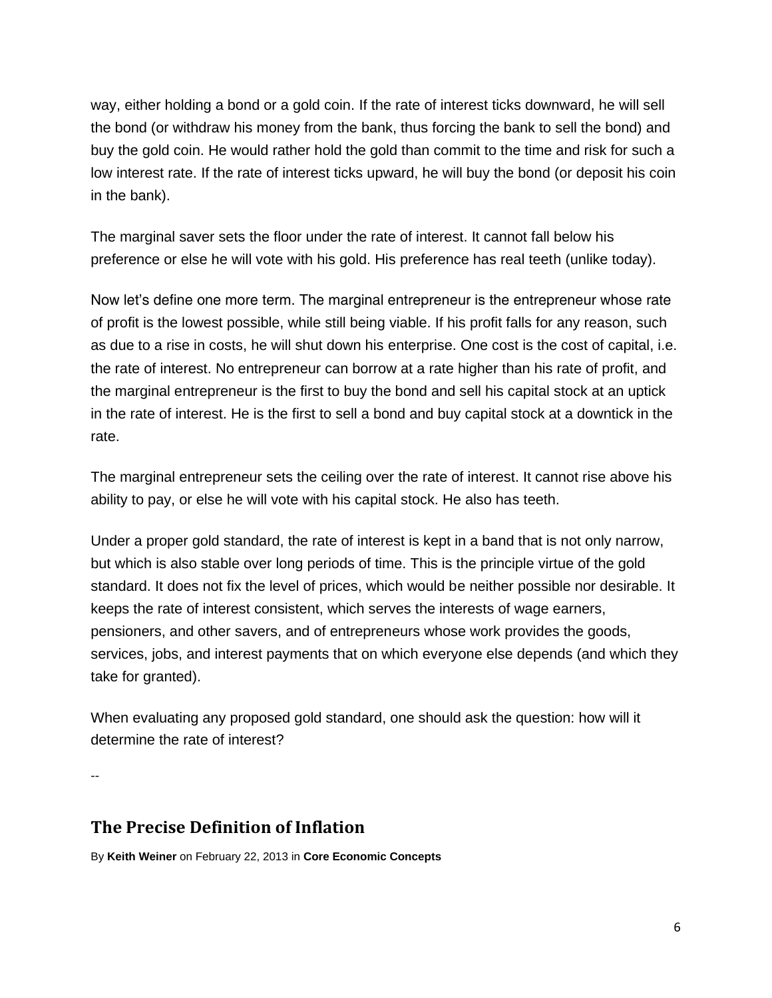way, either holding a bond or a gold coin. If the rate of interest ticks downward, he will sell the bond (or withdraw his money from the bank, thus forcing the bank to sell the bond) and buy the gold coin. He would rather hold the gold than commit to the time and risk for such a low interest rate. If the rate of interest ticks upward, he will buy the bond (or deposit his coin in the bank).

The marginal saver sets the floor under the rate of interest. It cannot fall below his preference or else he will vote with his gold. His preference has real teeth (unlike today).

Now let's define one more term. The marginal entrepreneur is the entrepreneur whose rate of profit is the lowest possible, while still being viable. If his profit falls for any reason, such as due to a rise in costs, he will shut down his enterprise. One cost is the cost of capital, i.e. the rate of interest. No entrepreneur can borrow at a rate higher than his rate of profit, and the marginal entrepreneur is the first to buy the bond and sell his capital stock at an uptick in the rate of interest. He is the first to sell a bond and buy capital stock at a downtick in the rate.

The marginal entrepreneur sets the ceiling over the rate of interest. It cannot rise above his ability to pay, or else he will vote with his capital stock. He also has teeth.

Under a proper gold standard, the rate of interest is kept in a band that is not only narrow, but which is also stable over long periods of time. This is the principle virtue of the gold standard. It does not fix the level of prices, which would be neither possible nor desirable. It keeps the rate of interest consistent, which serves the interests of wage earners, pensioners, and other savers, and of entrepreneurs whose work provides the goods, services, jobs, and interest payments that on which everyone else depends (and which they take for granted).

When evaluating any proposed gold standard, one should ask the question: how will it determine the rate of interest?

--

### **The Precise Definition of Inflation**

By **[Keith Weiner](http://monetary-metals.com/author/kw/)** on February 22, 2013 in **[Core Economic Concepts](http://monetary-metals.com/category/cec/)**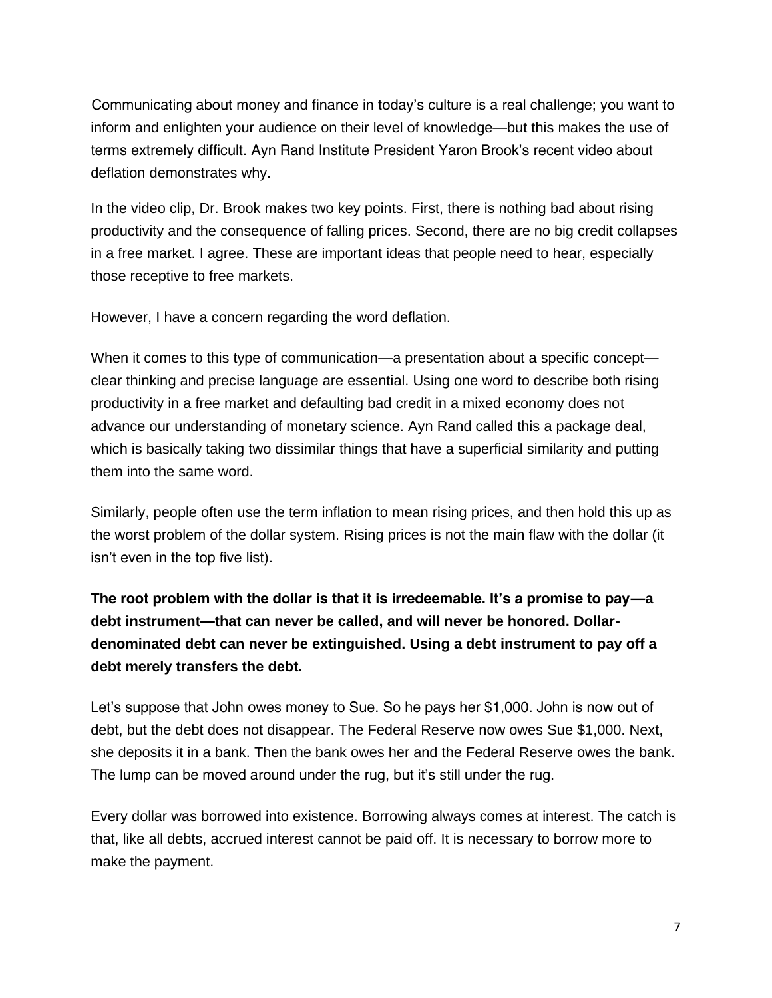[C](http://www.hupso.com/share/)ommunicating about money and finance in today's culture is a real challenge; you want to inform and enlighten your audience on their level of knowledge—but this makes the use of terms extremely difficult. Ayn Rand Institute President Yaron Brook's recent video about deflation demonstrates why.

In the video clip, Dr. Brook makes two key points. First, there is nothing bad about rising productivity and the consequence of falling prices. Second, there are no big credit collapses in a free market. I agree. These are important ideas that people need to hear, especially those receptive to free markets.

However, I have a concern regarding the word deflation.

When it comes to this type of communication—a presentation about a specific concept clear thinking and precise language are essential. Using one word to describe both rising productivity in a free market and defaulting bad credit in a mixed economy does not advance our understanding of monetary science. Ayn Rand called this a package deal, which is basically taking two dissimilar things that have a superficial similarity and putting them into the same word.

Similarly, people often use the term inflation to mean rising prices, and then hold this up as the worst problem of the dollar system. Rising prices is not the main flaw with the dollar (it isn't even in the top five list).

**The root problem with the dollar is that it is irredeemable. It's a promise to pay—a debt instrument—that can never be called, and will never be honored. Dollardenominated debt can never be extinguished. Using a debt instrument to pay off a debt merely transfers the debt.**

Let's suppose that John owes money to Sue. So he pays her \$1,000. John is now out of debt, but the debt does not disappear. The Federal Reserve now owes Sue \$1,000. Next, she deposits it in a bank. Then the bank owes her and the Federal Reserve owes the bank. The lump can be moved around under the rug, but it's still under the rug.

Every dollar was borrowed into existence. Borrowing always comes at interest. The catch is that, like all debts, accrued interest cannot be paid off. It is necessary to borrow more to make the payment.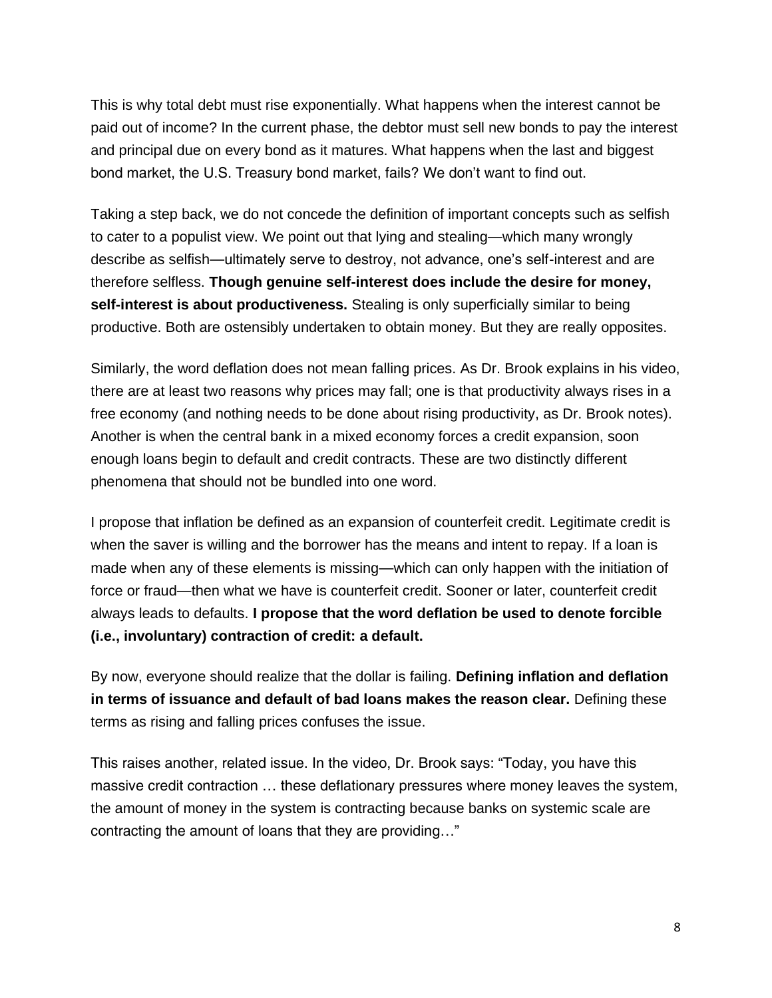This is why total debt must rise exponentially. What happens when the interest cannot be paid out of income? In the current phase, the debtor must sell new bonds to pay the interest and principal due on every bond as it matures. What happens when the last and biggest bond market, the U.S. Treasury bond market, fails? We don't want to find out.

Taking a step back, we do not concede the definition of important concepts such as selfish to cater to a populist view. We point out that lying and stealing—which many wrongly describe as selfish—ultimately serve to destroy, not advance, one's self-interest and are therefore selfless. **Though genuine self-interest does include the desire for money, self-interest is about productiveness.** Stealing is only superficially similar to being productive. Both are ostensibly undertaken to obtain money. But they are really opposites.

Similarly, the word deflation does not mean falling prices. As Dr. Brook explains in his video, there are at least two reasons why prices may fall; one is that productivity always rises in a free economy (and nothing needs to be done about rising productivity, as Dr. Brook notes). Another is when the central bank in a mixed economy forces a credit expansion, soon enough loans begin to default and credit contracts. These are two distinctly different phenomena that should not be bundled into one word.

I propose that inflation be defined as an expansion of counterfeit credit. Legitimate credit is when the saver is willing and the borrower has the means and intent to repay. If a loan is made when any of these elements is missing—which can only happen with the initiation of force or fraud—then what we have is counterfeit credit. Sooner or later, counterfeit credit always leads to defaults. **I propose that the word deflation be used to denote forcible (i.e., involuntary) contraction of credit: a default.**

By now, everyone should realize that the dollar is failing. **Defining inflation and deflation in terms of issuance and default of bad loans makes the reason clear.** Defining these terms as rising and falling prices confuses the issue.

This raises another, related issue. In the video, Dr. Brook says: "Today, you have this massive credit contraction … these deflationary pressures where money leaves the system, the amount of money in the system is contracting because banks on systemic scale are contracting the amount of loans that they are providing…"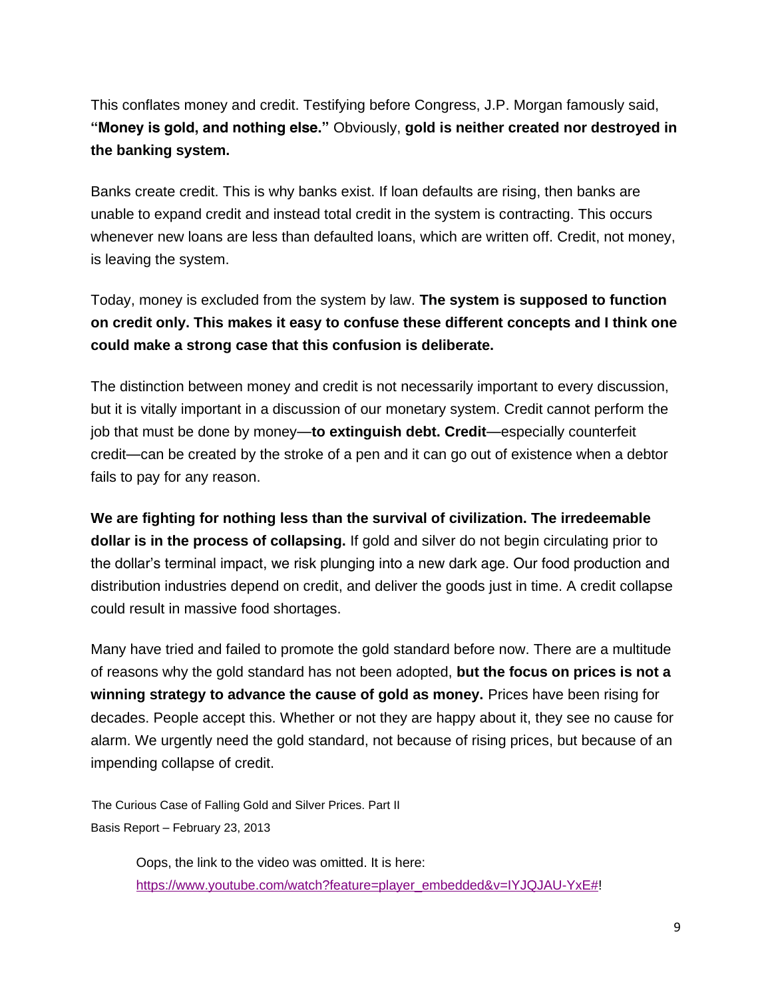This conflates money and credit. Testifying before Congress, J.P. Morgan famously said, **"Money is gold, and nothing else."** Obviously, **gold is neither created nor destroyed in the banking system.**

Banks create credit. This is why banks exist. If loan defaults are rising, then banks are unable to expand credit and instead total credit in the system is contracting. This occurs whenever new loans are less than defaulted loans, which are written off. Credit, not money, is leaving the system.

Today, money is excluded from the system by law. **The system is supposed to function on credit only. This makes it easy to confuse these different concepts and I think one could make a strong case that this confusion is deliberate.**

The distinction between money and credit is not necessarily important to every discussion, but it is vitally important in a discussion of our monetary system. Credit cannot perform the job that must be done by money—**to extinguish debt. Credit**—especially counterfeit credit—can be created by the stroke of a pen and it can go out of existence when a debtor fails to pay for any reason.

**We are fighting for nothing less than the survival of civilization. The irredeemable dollar is in the process of collapsing.** If gold and silver do not begin circulating prior to the dollar's terminal impact, we risk plunging into a new dark age. Our food production and distribution industries depend on credit, and deliver the goods just in time. A credit collapse could result in massive food shortages.

Many have tried and failed to promote the gold standard before now. There are a multitude of reasons why the gold standard has not been adopted, **but the focus on prices is not a winning strategy to advance the cause of gold as money.** Prices have been rising for decades. People accept this. Whether or not they are happy about it, they see no cause for alarm. We urgently need the gold standard, not because of rising prices, but because of an impending collapse of credit.

[The Curious Case of Falling Gold and Silver Prices. Part II](http://monetary-metals.com/the-curious-case-of-falling-gold-and-silver-prices-part-ii/) Basis Report – [February 23, 2013](http://monetary-metals.com/the-last-contango-basis-report-23-feb-2013/)

> Oops, the link to the video was omitted. It is here: [https://www.youtube.com/watch?feature=player\\_embedded&v=IYJQJAU-YxE#!](https://www.youtube.com/watch?feature=player_embedded&v=IYJQJAU-YxE)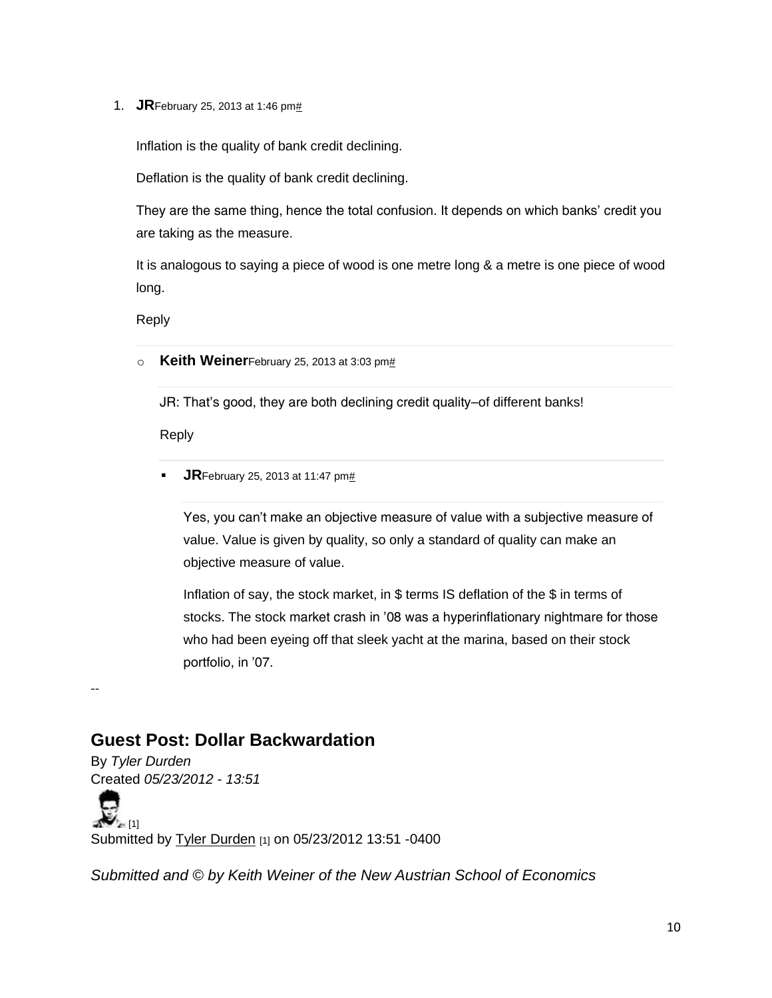1. **JR**February 25, 2013 at 1:46 pm<sup>#</sup>

Inflation is the quality of bank credit declining.

Deflation is the quality of bank credit declining.

They are the same thing, hence the total confusion. It depends on which banks' credit you are taking as the measure.

It is analogous to saying a piece of wood is one metre long & a metre is one piece of wood long.

[Reply](http://monetary-metals.com/the-precise-definition-of-inflation/?replytocom=183#respond)

o **Keith Weiner**February 25, 2013 at 3:03 p[m#](http://monetary-metals.com/the-precise-definition-of-inflation/#comment-186)

JR: That's good, they are both declining credit quality–of different banks!

[Reply](http://monetary-metals.com/the-precise-definition-of-inflation/?replytocom=186#respond)

**JR**February 25, 2013 at 11:47 pm<sup>#</sup>

Yes, you can't make an objective measure of value with a subjective measure of value. Value is given by quality, so only a standard of quality can make an objective measure of value.

Inflation of say, the stock market, in \$ terms IS deflation of the \$ in terms of stocks. The stock market crash in '08 was a hyperinflationary nightmare for those who had been eyeing off that sleek yacht at the marina, based on their stock portfolio, in '07.

--

## **Guest Post: Dollar Backwardation**

By *Tyler Durden* Created *05/23/2012 - 13:51*

 $\mathcal{N}_{\text{eff}}$ Submitted by [Tyler Durden](http://www.zerohedge.com/users/tyler-durden) [1] on 05/23/2012 13:51 -0400

*Submitted and © by Keith Weiner of the New Austrian School of Economics*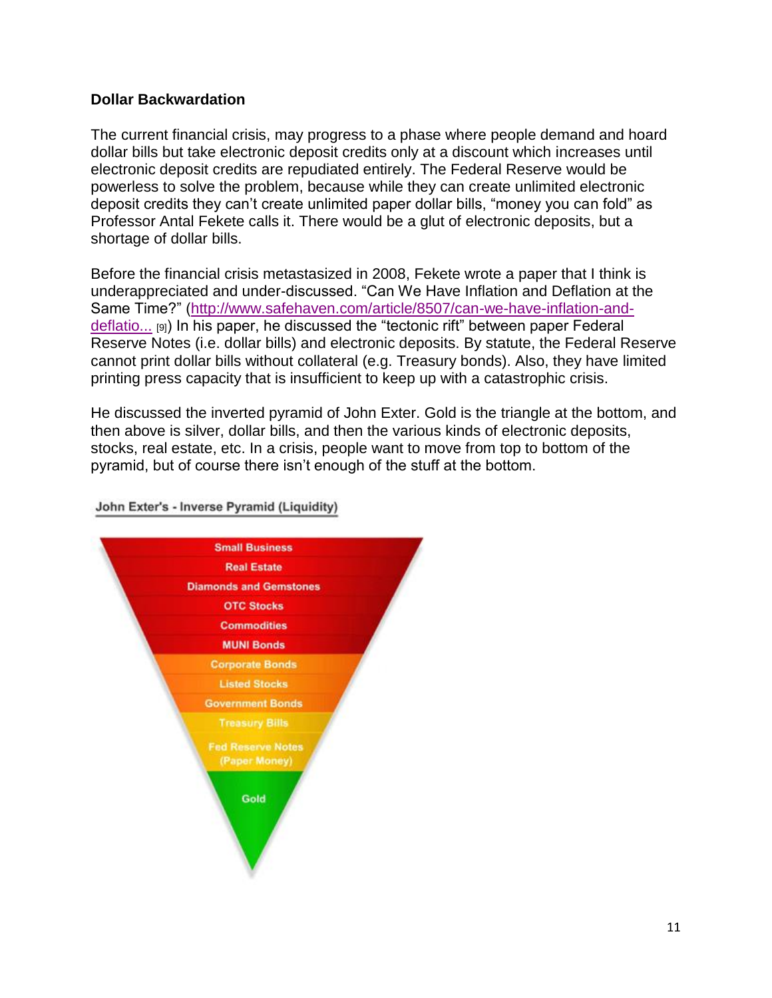#### **Dollar Backwardation**

The current financial crisis, may progress to a phase where people demand and hoard dollar bills but take electronic deposit credits only at a discount which increases until electronic deposit credits are repudiated entirely. The Federal Reserve would be powerless to solve the problem, because while they can create unlimited electronic deposit credits they can't create unlimited paper dollar bills, "money you can fold" as Professor Antal Fekete calls it. There would be a glut of electronic deposits, but a shortage of dollar bills.

Before the financial crisis metastasized in 2008, Fekete wrote a paper that I think is underappreciated and under-discussed. "Can We Have Inflation and Deflation at the Same Time?" [\(http://www.safehaven.com/article/8507/can-we-have-inflation-and](http://www.safehaven.com/article/8507/can-we-have-inflation-and-deflation-all-at-the-same-time)[deflatio...](http://www.safehaven.com/article/8507/can-we-have-inflation-and-deflation-all-at-the-same-time) [9]) In his paper, he discussed the "tectonic rift" between paper Federal Reserve Notes (i.e. dollar bills) and electronic deposits. By statute, the Federal Reserve cannot print dollar bills without collateral (e.g. Treasury bonds). Also, they have limited printing press capacity that is insufficient to keep up with a catastrophic crisis.

He discussed the inverted pyramid of John Exter. Gold is the triangle at the bottom, and then above is silver, dollar bills, and then the various kinds of electronic deposits, stocks, real estate, etc. In a crisis, people want to move from top to bottom of the pyramid, but of course there isn't enough of the stuff at the bottom.



#### John Exter's - Inverse Pyramid (Liquidity)